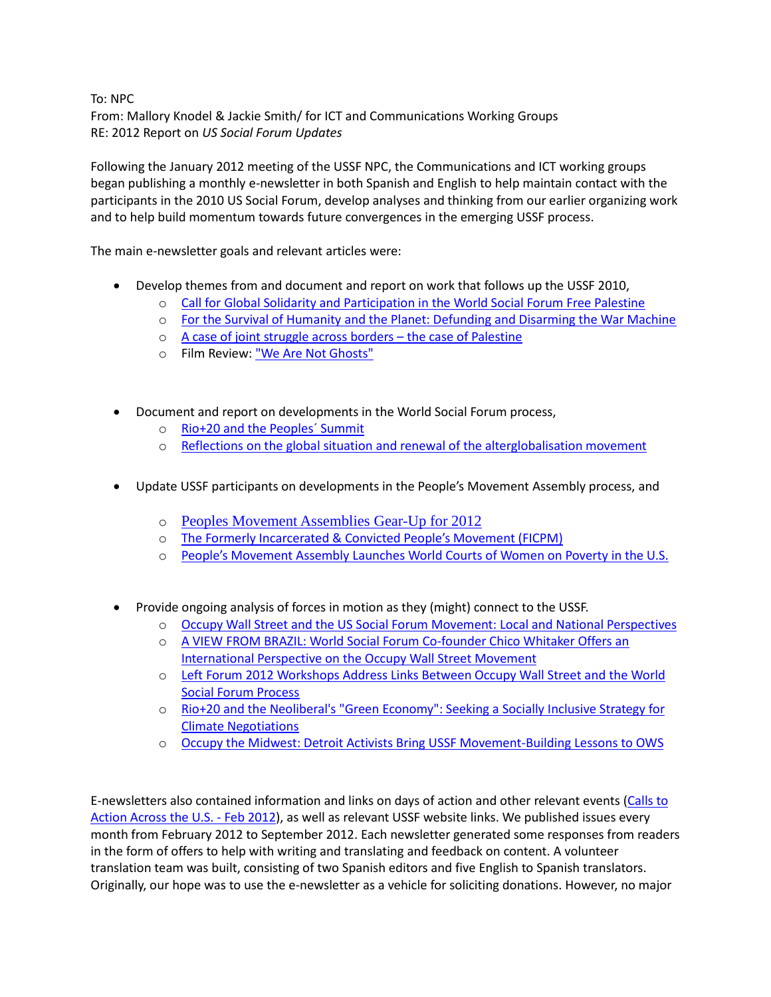To: NPC From: Mallory Knodel & Jackie Smith/ for ICT and Communications Working Groups RE: 2012 Report on *US Social Forum Updates*

Following the January 2012 meeting of the USSF NPC, the Communications and ICT working groups began publishing a monthly e-newsletter in both Spanish and English to help maintain contact with the participants in the 2010 US Social Forum, develop analyses and thinking from our earlier organizing work and to help build momentum towards future convergences in the emerging USSF process.

The main e-newsletter goals and relevant articles were:

- Develop themes from and document and report on work that follows up the USSF 2010,
	- o [Call for Global Solidarity and Participation in the World Social Forum Free Palestine](http://www.ussf2010.org/node/392)
	- o [For the Survival of Humanity and the Planet: Defunding and Disarming the War Machine](http://www.ussf2010.org/node/398)
	- o [A case of joint struggle across borders](http://www.ussf2010.org/node/400)  the case of Palestine
	- o Film Review: ["We Are Not Ghosts"](http://www.ussf2010.org/node/406)
- Document and report on developments in the World Social Forum process,
	- o [Rio+20 and the Peoples´ Summit](http://www.ussf2010.org/node/387)
	- o [Reflections on the global situation and renewal of the alterglobalisation movement](http://www.ussf2010.org/node/404)
- Update USSF participants on developments in the People's Movement Assembly process, and
	- o [Peoples Movement Assemblies Gear-Up for 2012](http://www.ussf2010.org/node/371)
	- o [The Formerly Incarcerated & Convicted People's Movement \(FICPM\)](http://www.ussf2010.org/node/379)
	- o [People's Movement Assembly Launches World Courts of Women on Poverty in the U.S.](http://www.ussf2010.org/node/381)
- Provide ongoing analysis of forces in motion as they (might) connect to the USSF.
	- o [Occupy Wall Street and the US Social Forum Movement: Local and National Perspectives](http://www.ussf2010.org/node/372)
	- o [A VIEW FROM BRAZIL: World Social Forum Co-founder Chico Whitaker Offers an](http://www.ussf2010.org/node/373)  International Perspective on [the Occupy Wall Street Movement](http://www.ussf2010.org/node/373)
	- o [Left Forum 2012 Workshops Address Links Between Occupy Wall Street and the World](http://www.ussf2010.org/node/385)  [Social Forum Process](http://www.ussf2010.org/node/385)
	- o [Rio+20 and the Neoliberal's "Green Economy": Seeking a Socially Inclusive Strategy for](http://www.ussf2010.org/node/389)  [Climate Negotiations](http://www.ussf2010.org/node/389)
	- o [Occupy the Midwest: Detroit Activists Bring USSF Movement-Building Lessons to OWS](http://www.ussf2010.org/node/403)

E-newsletters also contained information and links on days of action and other relevant events [\(Calls to](http://www.ussf2010.org/node/378)  [Action Across the U.S. -](http://www.ussf2010.org/node/378) Feb 2012), as well as relevant USSF website links. We published issues every month from February 2012 to September 2012. Each newsletter generated some responses from readers in the form of offers to help with writing and translating and feedback on content. A volunteer translation team was built, consisting of two Spanish editors and five English to Spanish translators. Originally, our hope was to use the e-newsletter as a vehicle for soliciting donations. However, no major